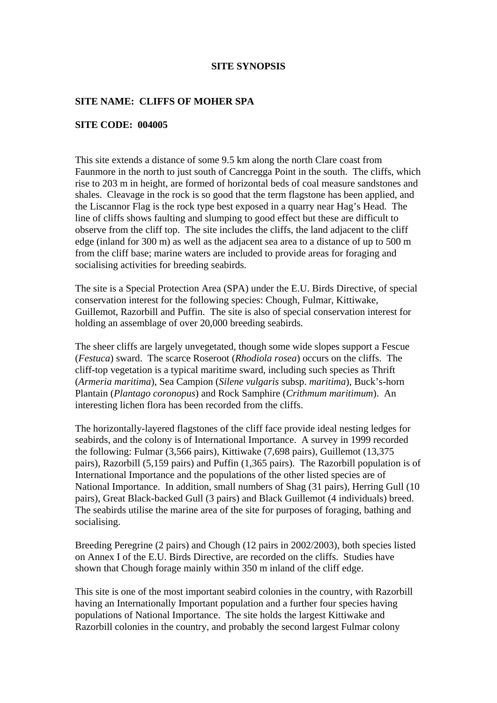## **SITE SYNOPSIS**

## **SITE NAME: CLIFFS OF MOHER SPA**

## **SITE CODE: 004005**

This site extends a distance of some 9.5 km along the north Clare coast from Faunmore in the north to just south of Cancregga Point in the south. The cliffs, which rise to 203 m in height, are formed of horizontal beds of coal measure sandstones and shales. Cleavage in the rock is so good that the term flagstone has been applied, and the Liscannor Flag is the rock type best exposed in a quarry near Hag's Head. The line of cliffs shows faulting and slumping to good effect but these are difficult to observe from the cliff top. The site includes the cliffs, the land adjacent to the cliff edge (inland for 300 m) as well as the adjacent sea area to a distance of up to 500 m from the cliff base; marine waters are included to provide areas for foraging and socialising activities for breeding seabirds.

The site is a Special Protection Area (SPA) under the E.U. Birds Directive, of special conservation interest for the following species: Chough, Fulmar, Kittiwake, Guillemot, Razorbill and Puffin. The site is also of special conservation interest for holding an assemblage of over 20,000 breeding seabirds.

The sheer cliffs are largely unvegetated, though some wide slopes support a Fescue (*Festuca*) sward. The scarce Roseroot (*Rhodiola rosea*) occurs on the cliffs. The cliff-top vegetation is a typical maritime sward, including such species as Thrift (*Armeria maritima*), Sea Campion (*Silene vulgaris* subsp. *maritima*), Buck's-horn Plantain (*Plantago coronopus*) and Rock Samphire (*Crithmum maritimum*). An interesting lichen flora has been recorded from the cliffs.

The horizontally-layered flagstones of the cliff face provide ideal nesting ledges for seabirds, and the colony is of International Importance. A survey in 1999 recorded the following: Fulmar (3,566 pairs), Kittiwake (7,698 pairs), Guillemot (13,375 pairs), Razorbill (5,159 pairs) and Puffin (1,365 pairs). The Razorbill population is of International Importance and the populations of the other listed species are of National Importance. In addition, small numbers of Shag (31 pairs), Herring Gull (10 pairs), Great Black-backed Gull (3 pairs) and Black Guillemot (4 individuals) breed. The seabirds utilise the marine area of the site for purposes of foraging, bathing and socialising.

Breeding Peregrine (2 pairs) and Chough (12 pairs in 2002/2003), both species listed on Annex I of the E.U. Birds Directive, are recorded on the cliffs. Studies have shown that Chough forage mainly within 350 m inland of the cliff edge.

This site is one of the most important seabird colonies in the country, with Razorbill having an Internationally Important population and a further four species having populations of National Importance. The site holds the largest Kittiwake and Razorbill colonies in the country, and probably the second largest Fulmar colony